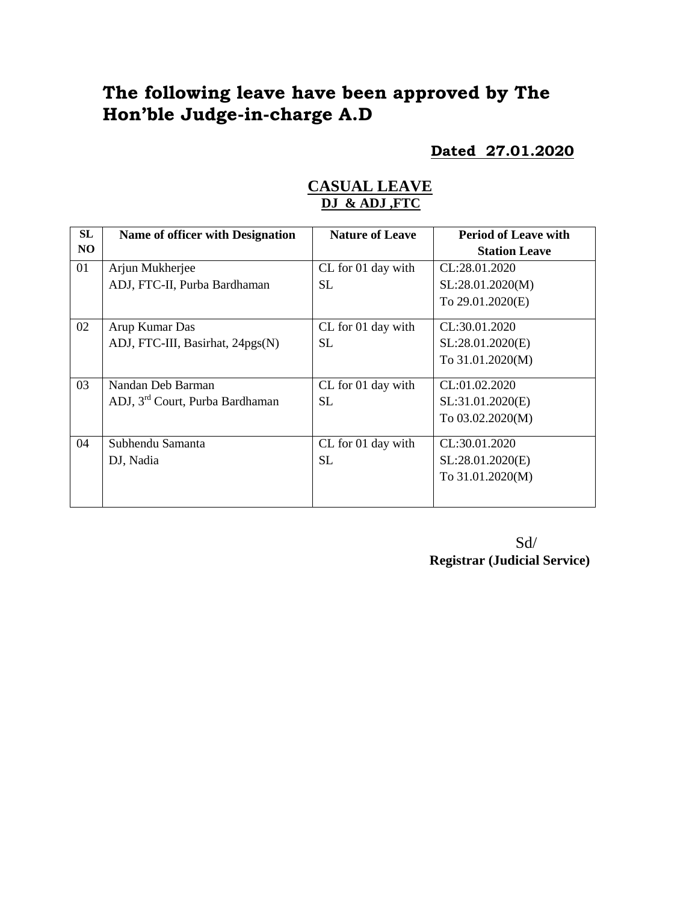# **The following leave have been approved by The Hon'ble Judge-in-charge A.D**

### **Dated 27.01.2020**

### **CASUAL LEAVE DJ & ADJ ,FTC**

| SL             | <b>Name of officer with Designation</b>     | <b>Nature of Leave</b> | <b>Period of Leave with</b> |
|----------------|---------------------------------------------|------------------------|-----------------------------|
| N <sub>O</sub> |                                             |                        | <b>Station Leave</b>        |
| 01             | Arjun Mukherjee                             | CL for 01 day with     | CL:28.01.2020               |
|                | ADJ, FTC-II, Purba Bardhaman                | <b>SL</b>              | SL:28.01.2020(M)            |
|                |                                             |                        | To 29.01.2020(E)            |
| 02             | Arup Kumar Das                              | CL for 01 day with     | CL:30.01.2020               |
|                | ADJ, FTC-III, Basirhat, 24pgs(N)            | <b>SL</b>              | SL:28.01.2020(E)            |
|                |                                             |                        | To 31.01.2020(M)            |
| 03             | Nandan Deb Barman                           | CL for 01 day with     | CL:01.02.2020               |
|                | ADJ, 3 <sup>rd</sup> Court, Purba Bardhaman | <b>SL</b>              | SL:31.01.2020(E)            |
|                |                                             |                        | To 03.02.2020(M)            |
| 04             | Subhendu Samanta                            | CL for 01 day with     | CL:30.01.2020               |
|                | DJ, Nadia                                   | <b>SL</b>              | SL:28.01.2020(E)            |
|                |                                             |                        | To 31.01.2020(M)            |
|                |                                             |                        |                             |

 Sd/ **Registrar (Judicial Service)**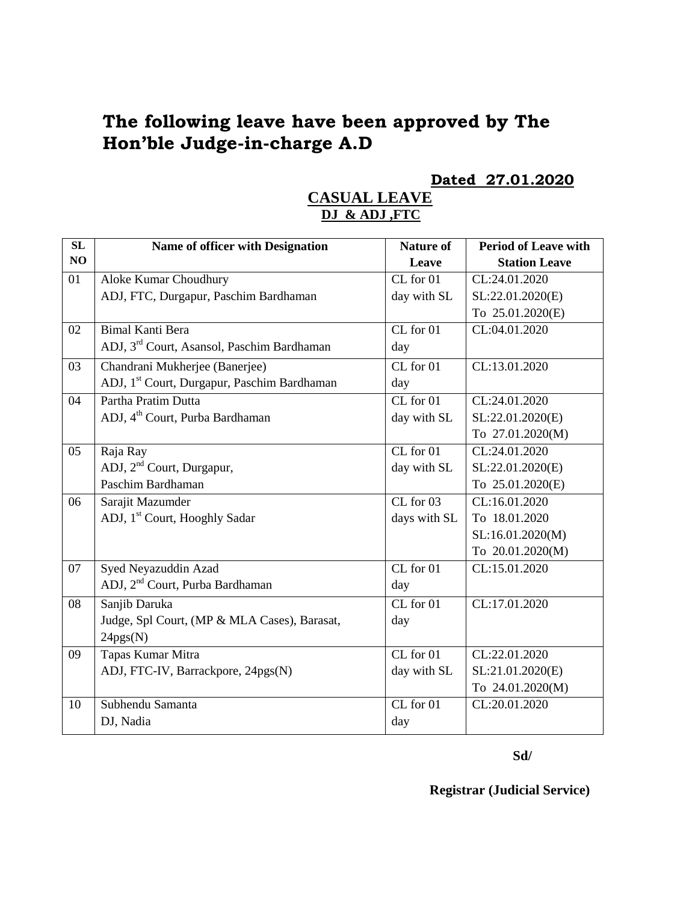# **The following leave have been approved by The Hon'ble Judge-in-charge A.D**

### **Dated 27.01.2020**

# **CASUAL LEAVE DJ & ADJ ,FTC**

| SL | Name of officer with Designation                        | <b>Nature of</b>              | <b>Period of Leave with</b> |
|----|---------------------------------------------------------|-------------------------------|-----------------------------|
| NO |                                                         | Leave                         | <b>Station Leave</b>        |
| 01 | Aloke Kumar Choudhury                                   | $CL$ for $01$                 | CL:24.01.2020               |
|    | ADJ, FTC, Durgapur, Paschim Bardhaman                   | day with SL                   | SL:22.01.2020(E)            |
|    |                                                         |                               | To 25.01.2020(E)            |
| 02 | <b>Bimal Kanti Bera</b>                                 | $CL$ for $01$                 | CL:04.01.2020               |
|    | ADJ, 3 <sup>rd</sup> Court, Asansol, Paschim Bardhaman  | day                           |                             |
| 03 | Chandrani Mukherjee (Banerjee)                          | CL for 01                     | CL:13.01.2020               |
|    | ADJ, 1 <sup>st</sup> Court, Durgapur, Paschim Bardhaman | day                           |                             |
| 04 | Partha Pratim Dutta                                     | $CL$ for $01$                 | CL:24.01.2020               |
|    | ADJ, 4 <sup>th</sup> Court, Purba Bardhaman             | day with SL                   | SL:22.01.2020(E)            |
|    |                                                         |                               | To 27.01.2020(M)            |
| 05 | Raja Ray                                                | CL for 01                     | CL:24.01.2020               |
|    | ADJ, 2 <sup>nd</sup> Court, Durgapur,                   | day with SL                   | SL:22.01.2020(E)            |
|    | Paschim Bardhaman                                       |                               | To 25.01.2020(E)            |
| 06 | Sarajit Mazumder                                        | $CL$ for $03$                 | CL:16.01.2020               |
|    | ADJ, 1 <sup>st</sup> Court, Hooghly Sadar               | days with SL                  | To 18.01.2020               |
|    |                                                         |                               | SL:16.01.2020(M)            |
|    |                                                         |                               | To 20.01.2020(M)            |
| 07 | Syed Neyazuddin Azad                                    | $CL$ for $01$                 | CL:15.01.2020               |
|    | ADJ, 2 <sup>nd</sup> Court, Purba Bardhaman             | day                           |                             |
| 08 | Sanjib Daruka                                           | $CL$ for $01$                 | CL:17.01.2020               |
|    | Judge, Spl Court, (MP & MLA Cases), Barasat,            | day                           |                             |
|    | 24pgs(N)                                                |                               |                             |
| 09 | Tapas Kumar Mitra                                       | $\overline{\text{CL}}$ for 01 | CL:22.01.2020               |
|    | ADJ, FTC-IV, Barrackpore, 24pgs(N)                      | day with SL                   | SL:21.01.2020(E)            |
|    |                                                         |                               | To 24.01.2020(M)            |
| 10 | Subhendu Samanta                                        | $CL$ for $01$                 | CL:20.01.2020               |
|    | DJ, Nadia                                               | day                           |                             |

#### **Sd/**

#### **Registrar (Judicial Service)**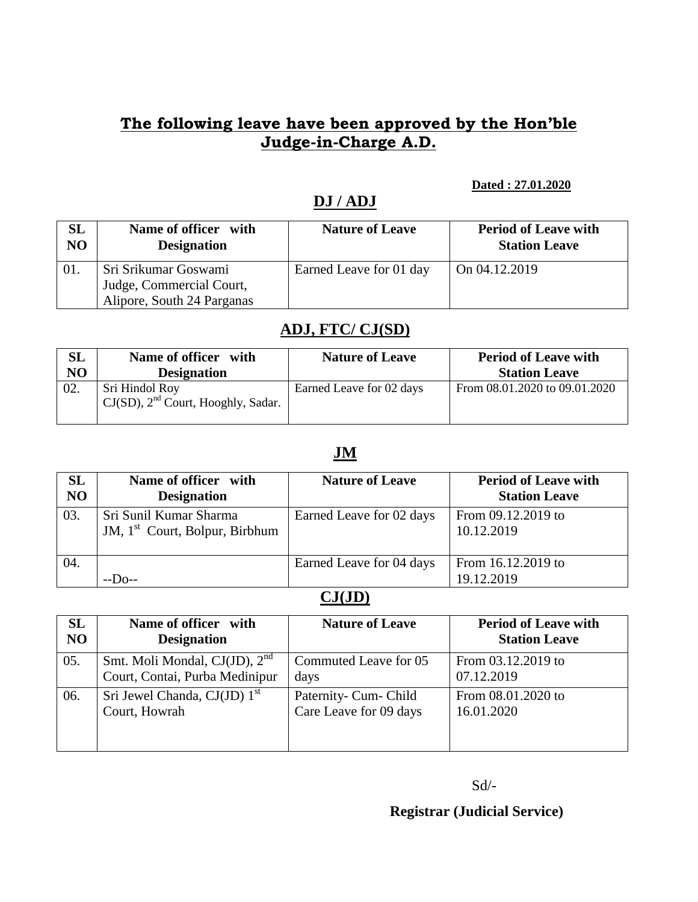# **The following leave have been approved by the Hon'ble Judge-in-Charge A.D.**

#### **Dated : 27.01.2020**

## **DJ / ADJ**

| SL             | Name of officer with                                                           | <b>Nature of Leave</b>  | <b>Period of Leave with</b> |
|----------------|--------------------------------------------------------------------------------|-------------------------|-----------------------------|
| N <sub>O</sub> | <b>Designation</b>                                                             |                         | <b>Station Leave</b>        |
|                | Sri Srikumar Goswami<br>Judge, Commercial Court,<br>Alipore, South 24 Parganas | Earned Leave for 01 day | On 04.12.2019               |

### **ADJ, FTC/ CJ(SD)**

| $\mathbf{SL}% _{T}$ | Name of officer with                                      | <b>Nature of Leave</b>   | <b>Period of Leave with</b>   |
|---------------------|-----------------------------------------------------------|--------------------------|-------------------------------|
| NO                  | <b>Designation</b>                                        |                          | <b>Station Leave</b>          |
|                     | Sri Hindol Roy<br>$CJ(SD)$ , $2nd$ Court, Hooghly, Sadar. | Earned Leave for 02 days | From 08.01.2020 to 09.01.2020 |

## **JM**

| SL<br>NO | Name of officer with<br><b>Designation</b>                           | <b>Nature of Leave</b>   | <b>Period of Leave with</b><br><b>Station Leave</b> |
|----------|----------------------------------------------------------------------|--------------------------|-----------------------------------------------------|
| 03.      | Sri Sunil Kumar Sharma<br>JM, 1 <sup>st</sup> Court, Bolpur, Birbhum | Earned Leave for 02 days | From 09.12.2019 to<br>10.12.2019                    |
| 04.      | $-D_{0-1}$                                                           | Earned Leave for 04 days | From 16.12.2019 to<br>19.12.2019                    |

### **CJ(JD)**

| <b>SL</b>      | Name of officer with                       | <b>Nature of Leave</b> | <b>Period of Leave with</b> |
|----------------|--------------------------------------------|------------------------|-----------------------------|
| N <sub>O</sub> | <b>Designation</b>                         |                        | <b>Station Leave</b>        |
| 05.            | Smt. Moli Mondal, CJ(JD), 2 <sup>nd</sup>  | Commuted Leave for 05  | From 03.12.2019 to          |
|                | Court, Contai, Purba Medinipur             | days                   | 07.12.2019                  |
| 06.            | Sri Jewel Chanda, $CJ(JD)$ 1 <sup>st</sup> | Paternity- Cum- Child  | From 08.01.2020 to          |
|                | Court, Howrah                              | Care Leave for 09 days | 16.01.2020                  |

Sd/-

**Registrar (Judicial Service)**